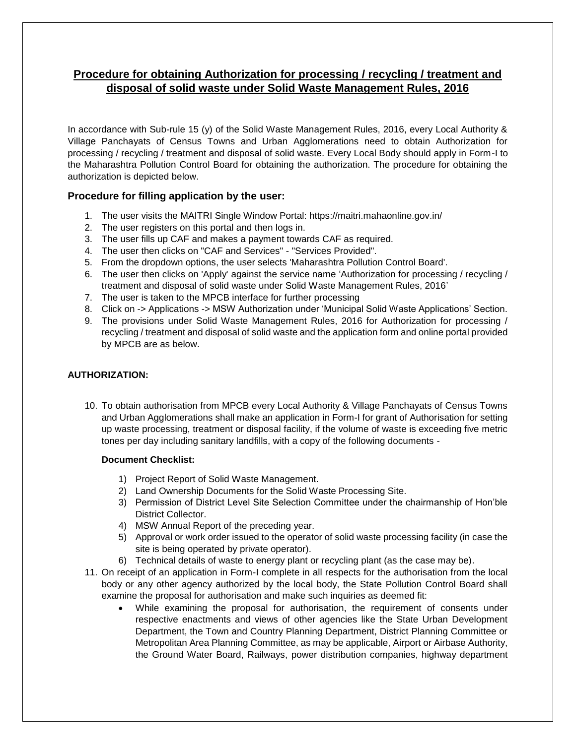# **Procedure for obtaining Authorization for processing / recycling / treatment and disposal of solid waste under Solid Waste Management Rules, 2016**

In accordance with Sub-rule 15 (y) of the Solid Waste Management Rules, 2016, every Local Authority & Village Panchayats of Census Towns and Urban Agglomerations need to obtain Authorization for processing / recycling / treatment and disposal of solid waste. Every Local Body should apply in Form-I to the Maharashtra Pollution Control Board for obtaining the authorization. The procedure for obtaining the authorization is depicted below.

## **Procedure for filling application by the user:**

- 1. The user visits the MAITRI Single Window Portal: https://maitri.mahaonline.gov.in/
- 2. The user registers on this portal and then logs in.
- 3. The user fills up CAF and makes a payment towards CAF as required.
- 4. The user then clicks on "CAF and Services" "Services Provided".
- 5. From the dropdown options, the user selects 'Maharashtra Pollution Control Board'.
- 6. The user then clicks on 'Apply' against the service name 'Authorization for processing / recycling / treatment and disposal of solid waste under Solid Waste Management Rules, 2016'
- 7. The user is taken to the MPCB interface for further processing
- 8. Click on -> Applications -> MSW Authorization under 'Municipal Solid Waste Applications' Section.
- 9. The provisions under Solid Waste Management Rules, 2016 for Authorization for processing / recycling / treatment and disposal of solid waste and the application form and online portal provided by MPCB are as below.

### **AUTHORIZATION:**

10. To obtain authorisation from MPCB every Local Authority & Village Panchayats of Census Towns and Urban Agglomerations shall make an application in Form-I for grant of Authorisation for setting up waste processing, treatment or disposal facility, if the volume of waste is exceeding five metric tones per day including sanitary landfills, with a copy of the following documents -

### **Document Checklist:**

- 1) Project Report of Solid Waste Management.
- 2) Land Ownership Documents for the Solid Waste Processing Site.
- 3) Permission of District Level Site Selection Committee under the chairmanship of Hon'ble District Collector.
- 4) MSW Annual Report of the preceding year.
- 5) Approval or work order issued to the operator of solid waste processing facility (in case the site is being operated by private operator).
- 6) Technical details of waste to energy plant or recycling plant (as the case may be).
- 11. On receipt of an application in Form-I complete in all respects for the authorisation from the local body or any other agency authorized by the local body, the State Pollution Control Board shall examine the proposal for authorisation and make such inquiries as deemed fit:
	- While examining the proposal for authorisation, the requirement of consents under respective enactments and views of other agencies like the State Urban Development Department, the Town and Country Planning Department, District Planning Committee or Metropolitan Area Planning Committee, as may be applicable, Airport or Airbase Authority, the Ground Water Board, Railways, power distribution companies, highway department